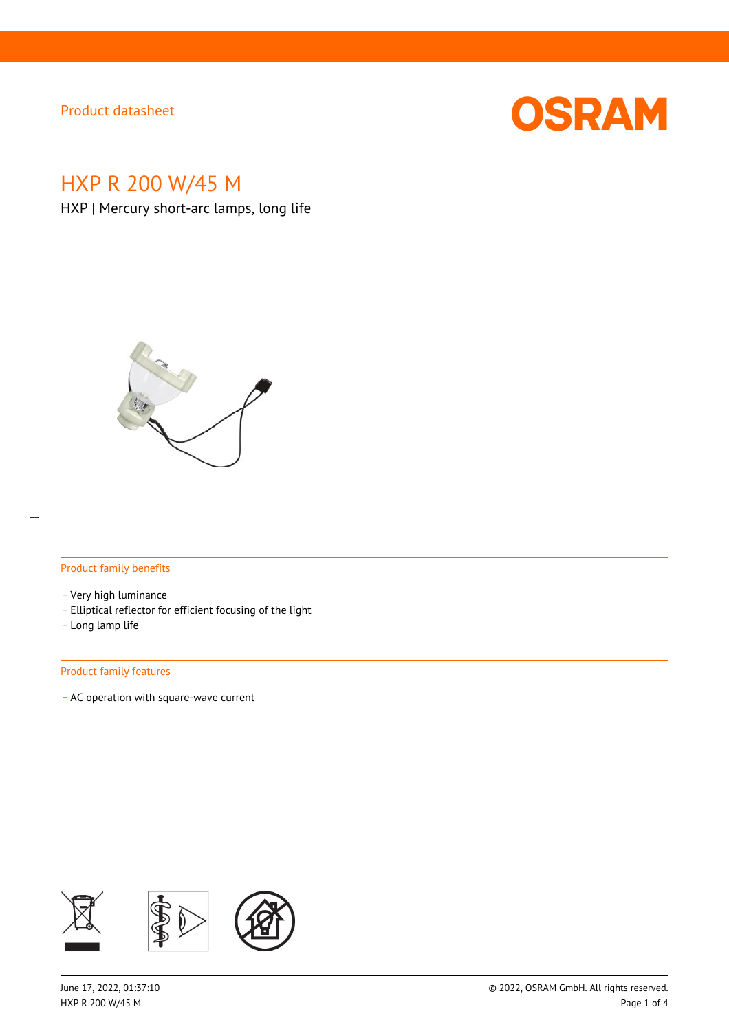

# HXP R 200 W/45 M

HXP | Mercury short-arc lamps, long life



#### Product family benefits

- \_ Very high luminance
- \_ Elliptical reflector for efficient focusing of the light
- \_ Long lamp life

#### Product family features

\_ AC operation with square-wave current

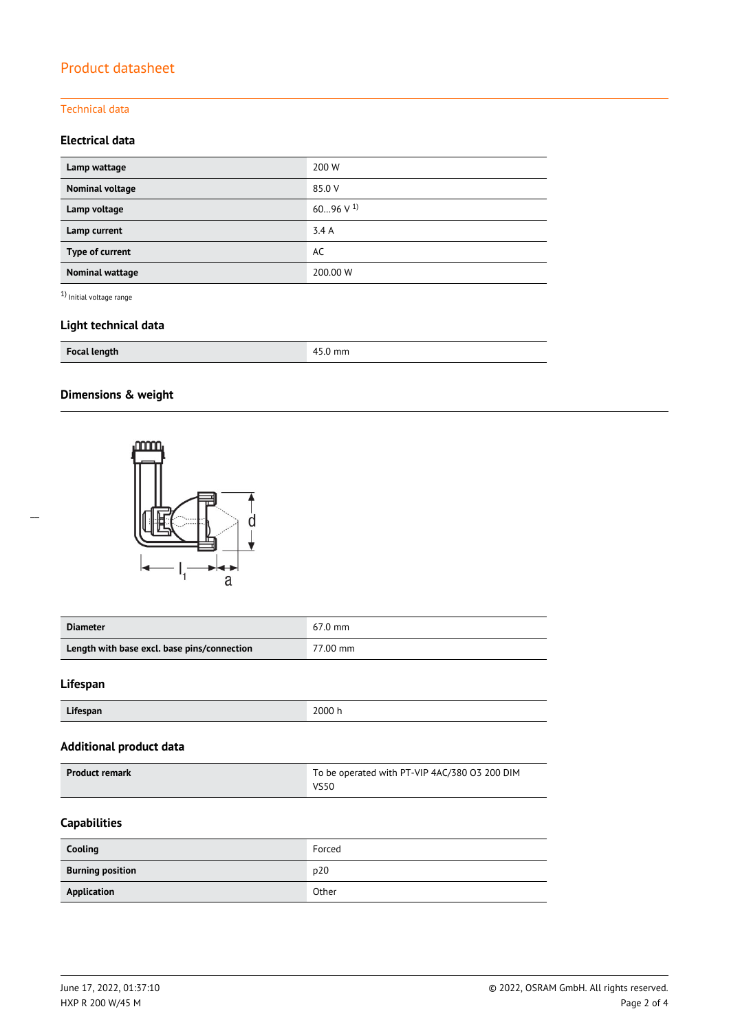### Technical data

### **Electrical data**

| Lamp wattage    | 200 W          |
|-----------------|----------------|
| Nominal voltage | 85.0 V         |
| Lamp voltage    | 6096 V $^{1)}$ |
| Lamp current    | 3.4A           |
| Type of current | AC             |
| Nominal wattage | 200.00 W       |

 $^{\rm 1)}$  Initial voltage range

### **Light technical data**

| <b>Focal length</b> | mm<br>л |
|---------------------|---------|
|---------------------|---------|

### **Dimensions & weight**



| <b>Diameter</b>                             | $67.0$ mm |
|---------------------------------------------|-----------|
| Length with base excl. base pins/connection | 77.00 mm  |

#### **Lifespan**

| Lifespan | 2000 h |
|----------|--------|

#### **Additional product data**

| <b>Product remark</b> | To be operated with PT-VIP 4AC/380 03 200 DIM |  |
|-----------------------|-----------------------------------------------|--|
|                       | VS50                                          |  |

### **Capabilities**

| Cooling                 | Forced |
|-------------------------|--------|
| <b>Burning position</b> | p20    |
| Application             | Other  |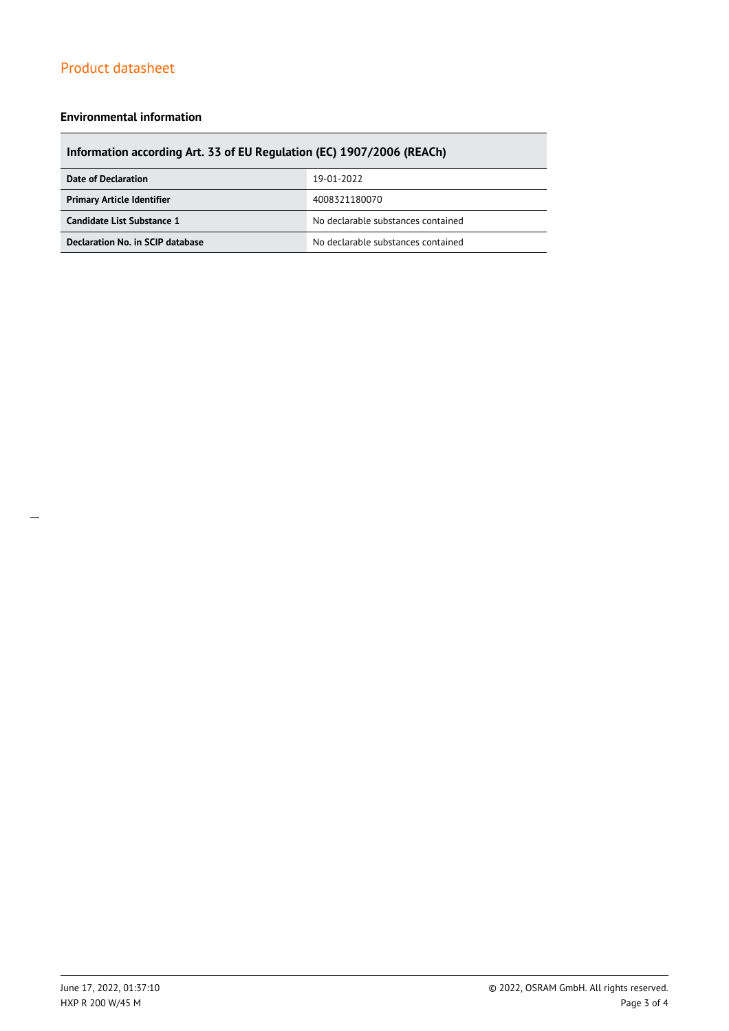#### **Environmental information**

### **Information according Art. 33 of EU Regulation (EC) 1907/2006 (REACh)**

| Date of Declaration               | 19-01-2022                         |  |
|-----------------------------------|------------------------------------|--|
| <b>Primary Article Identifier</b> | 4008321180070                      |  |
| Candidate List Substance 1        | No declarable substances contained |  |
| Declaration No. in SCIP database  | No declarable substances contained |  |